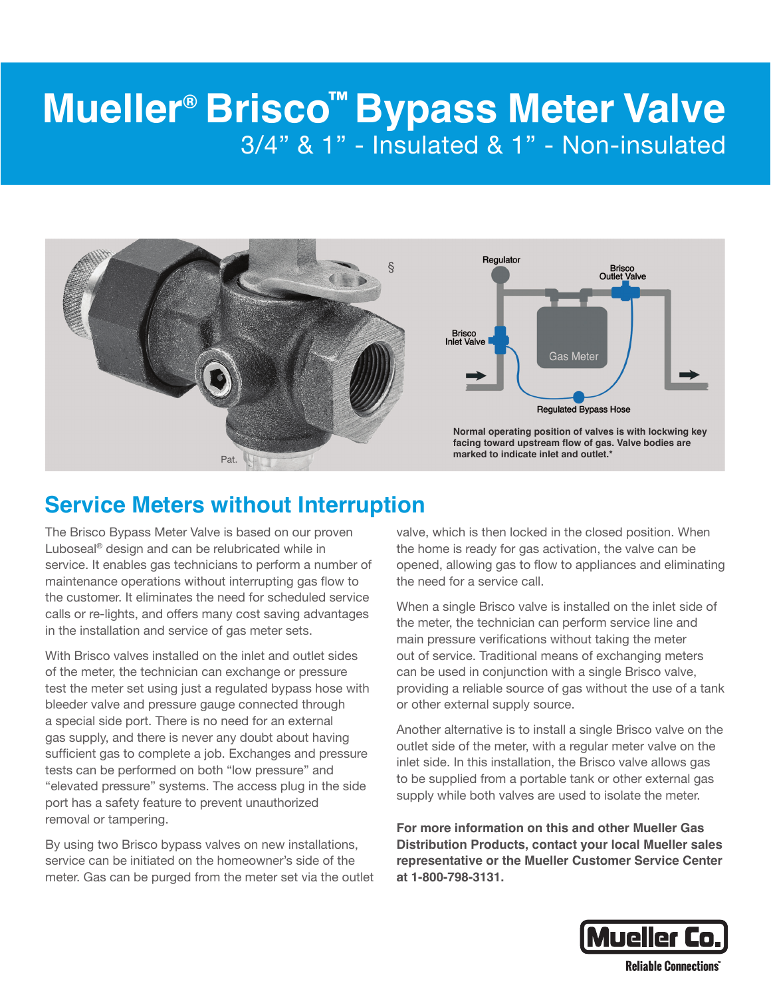## **Mueller® Brisco™ Bypass Meter Valve** 3/4" & 1" - Insulated & 1" - Non-insulated



## **Service Meters without Interruption**

The Brisco Bypass Meter Valve is based on our proven Luboseal® design and can be relubricated while in service. It enables gas technicians to perform a number of maintenance operations without interrupting gas flow to the customer. It eliminates the need for scheduled service calls or re-lights, and offers many cost saving advantages in the installation and service of gas meter sets.

With Brisco valves installed on the inlet and outlet sides of the meter, the technician can exchange or pressure test the meter set using just a regulated bypass hose with bleeder valve and pressure gauge connected through a special side port. There is no need for an external gas supply, and there is never any doubt about having sufficient gas to complete a job. Exchanges and pressure tests can be performed on both "low pressure" and "elevated pressure" systems. The access plug in the side port has a safety feature to prevent unauthorized removal or tampering.

By using two Brisco bypass valves on new installations, service can be initiated on the homeowner's side of the meter. Gas can be purged from the meter set via the outlet valve, which is then locked in the closed position. When the home is ready for gas activation, the valve can be opened, allowing gas to flow to appliances and eliminating the need for a service call.

When a single Brisco valve is installed on the inlet side of the meter, the technician can perform service line and main pressure verifications without taking the meter out of service. Traditional means of exchanging meters can be used in conjunction with a single Brisco valve, providing a reliable source of gas without the use of a tank or other external supply source.

Another alternative is to install a single Brisco valve on the outlet side of the meter, with a regular meter valve on the inlet side. In this installation, the Brisco valve allows gas to be supplied from a portable tank or other external gas supply while both valves are used to isolate the meter.

**For more information on this and other Mueller Gas Distribution Products, contact your local Mueller sales representative or the Mueller Customer Service Center at 1-800-798-3131.**